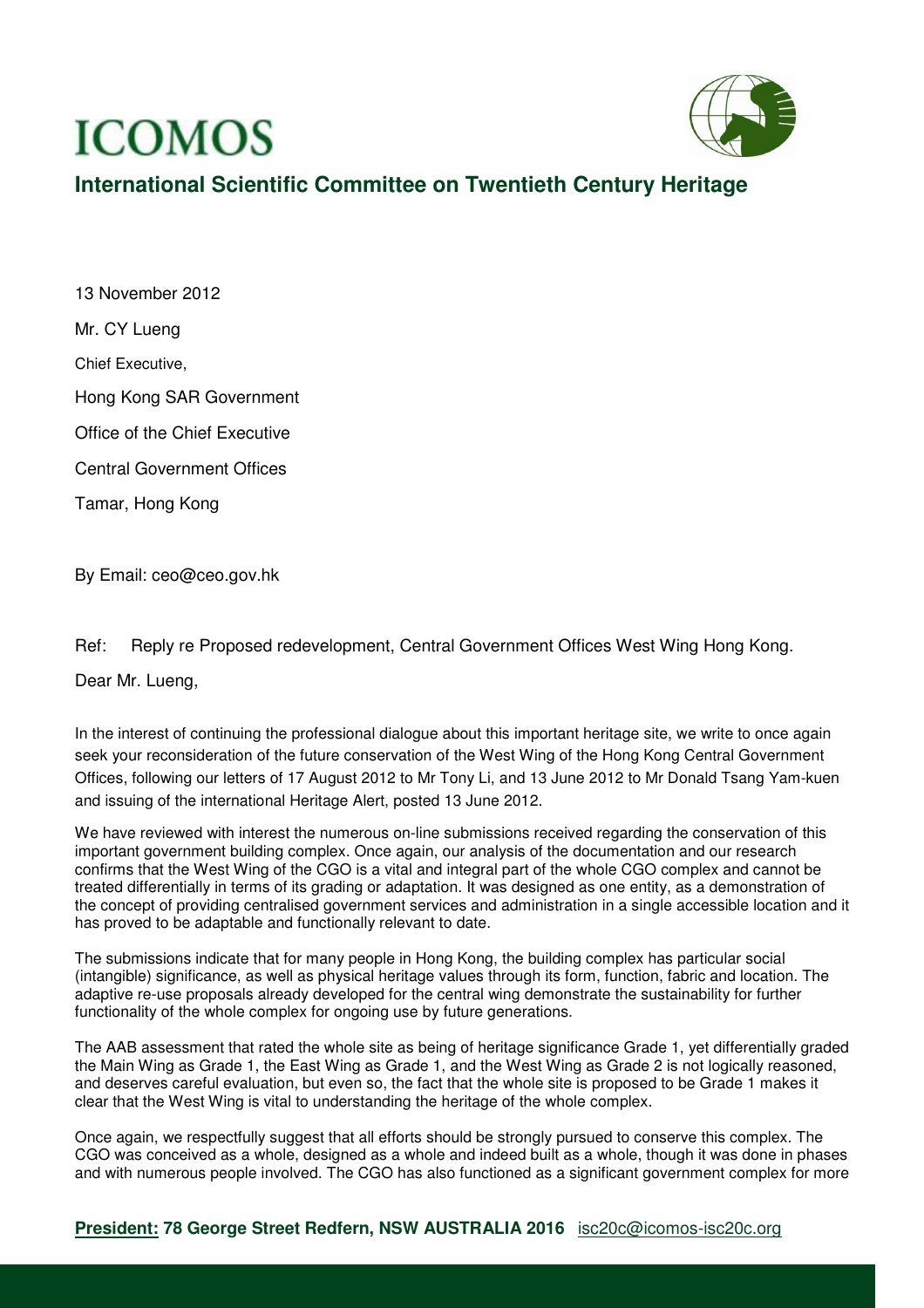## **ICOMOS**



## **International Scientific Committee on Twentieth Century Heritage**

13 November 2012 Mr. CY Lueng Chief Executive, Hong Kong SAR Government Office of the Chief Executive Central Government Offices Tamar, Hong Kong

By Email: ceo@ceo.gov.hk

Ref: Reply re Proposed redevelopment, Central Government Offices West Wing Hong Kong.

Dear Mr. Lueng,

In the interest of continuing the professional dialogue about this important heritage site, we write to once again seek your reconsideration of the future conservation of the West Wing of the Hong Kong Central Government Offices, following our letters of 17 August 2012 to Mr Tony Li, and 13 June 2012 to Mr Donald Tsang Yam-kuen and issuing of the international Heritage Alert, posted 13 June 2012.

We have reviewed with interest the numerous on-line submissions received regarding the conservation of this important government building complex. Once again, our analysis of the documentation and our research confirms that the West Wing of the CGO is a vital and integral part of the whole CGO complex and cannot be treated differentially in terms of its grading or adaptation. It was designed as one entity, as a demonstration of the concept of providing centralised government services and administration in a single accessible location and it has proved to be adaptable and functionally relevant to date.

The submissions indicate that for many people in Hong Kong, the building complex has particular social (intangible) significance, as well as physical heritage values through its form, function, fabric and location. The adaptive re-use proposals already developed for the central wing demonstrate the sustainability for further functionality of the whole complex for ongoing use by future generations.

The AAB assessment that rated the whole site as being of heritage significance Grade 1, yet differentially graded the Main Wing as Grade 1, the East Wing as Grade 1, and the West Wing as Grade 2 is not logically reasoned, and deserves careful evaluation, but even so, the fact that the whole site is proposed to be Grade 1 makes it clear that the West Wing is vital to understanding the heritage of the whole complex.

Once again, we respectfully suggest that all efforts should be strongly pursued to conserve this complex. The CGO was conceived as a whole, designed as a whole and indeed built as a whole, though it was done in phases and with numerous people involved. The CGO has also functioned as a significant government complex for more